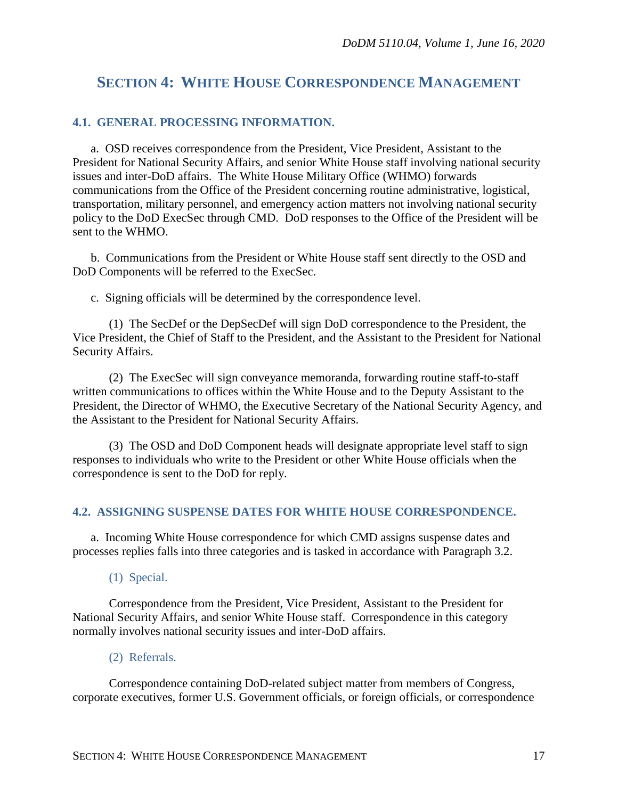# **SECTION 4: WHITE HOUSE CORRESPONDENCE MANAGEMENT**

#### **4.1. GENERAL PROCESSING INFORMATION.**

a. OSD receives correspondence from the President, Vice President, Assistant to the President for National Security Affairs, and senior White House staff involving national security issues and inter-DoD affairs. The White House Military Office (WHMO) forwards communications from the Office of the President concerning routine administrative, logistical, transportation, military personnel, and emergency action matters not involving national security policy to the DoD ExecSec through CMD. DoD responses to the Office of the President will be sent to the WHMO.

b. Communications from the President or White House staff sent directly to the OSD and DoD Components will be referred to the ExecSec.

c. Signing officials will be determined by the correspondence level.

(1) The SecDef or the DepSecDef will sign DoD correspondence to the President, the Vice President, the Chief of Staff to the President, and the Assistant to the President for National Security Affairs.

(2) The ExecSec will sign conveyance memoranda, forwarding routine staff-to-staff written communications to offices within the White House and to the Deputy Assistant to the President, the Director of WHMO, the Executive Secretary of the National Security Agency, and the Assistant to the President for National Security Affairs.

(3) The OSD and DoD Component heads will designate appropriate level staff to sign responses to individuals who write to the President or other White House officials when the correspondence is sent to the DoD for reply.

#### **4.2. ASSIGNING SUSPENSE DATES FOR WHITE HOUSE CORRESPONDENCE.**

a. Incoming White House correspondence for which CMD assigns suspense dates and processes replies falls into three categories and is tasked in accordance with Paragraph 3.2.

(1) Special.

Correspondence from the President, Vice President, Assistant to the President for National Security Affairs, and senior White House staff. Correspondence in this category normally involves national security issues and inter-DoD affairs.

#### (2) Referrals.

Correspondence containing DoD-related subject matter from members of Congress, corporate executives, former U.S. Government officials, or foreign officials, or correspondence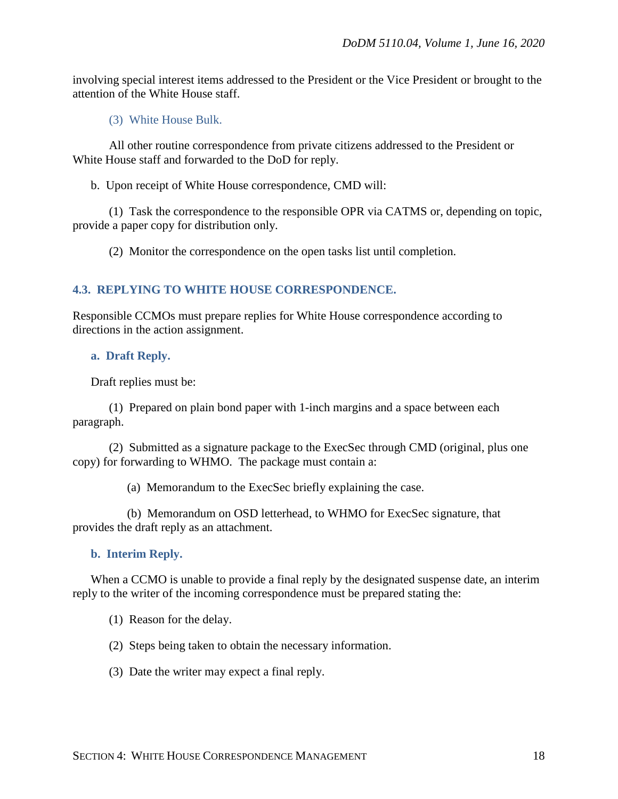involving special interest items addressed to the President or the Vice President or brought to the attention of the White House staff.

(3) White House Bulk.

All other routine correspondence from private citizens addressed to the President or White House staff and forwarded to the DoD for reply.

b. Upon receipt of White House correspondence, CMD will:

(1) Task the correspondence to the responsible OPR via CATMS or, depending on topic, provide a paper copy for distribution only.

(2) Monitor the correspondence on the open tasks list until completion.

# **4.3. REPLYING TO WHITE HOUSE CORRESPONDENCE.**

Responsible CCMOs must prepare replies for White House correspondence according to directions in the action assignment.

#### **a. Draft Reply.**

Draft replies must be:

(1) Prepared on plain bond paper with 1-inch margins and a space between each paragraph.

(2) Submitted as a signature package to the ExecSec through CMD (original, plus one copy) for forwarding to WHMO. The package must contain a:

(a) Memorandum to the ExecSec briefly explaining the case.

(b) Memorandum on OSD letterhead, to WHMO for ExecSec signature, that provides the draft reply as an attachment.

# **b. Interim Reply.**

When a CCMO is unable to provide a final reply by the designated suspense date, an interim reply to the writer of the incoming correspondence must be prepared stating the:

- (1) Reason for the delay.
- (2) Steps being taken to obtain the necessary information.
- (3) Date the writer may expect a final reply.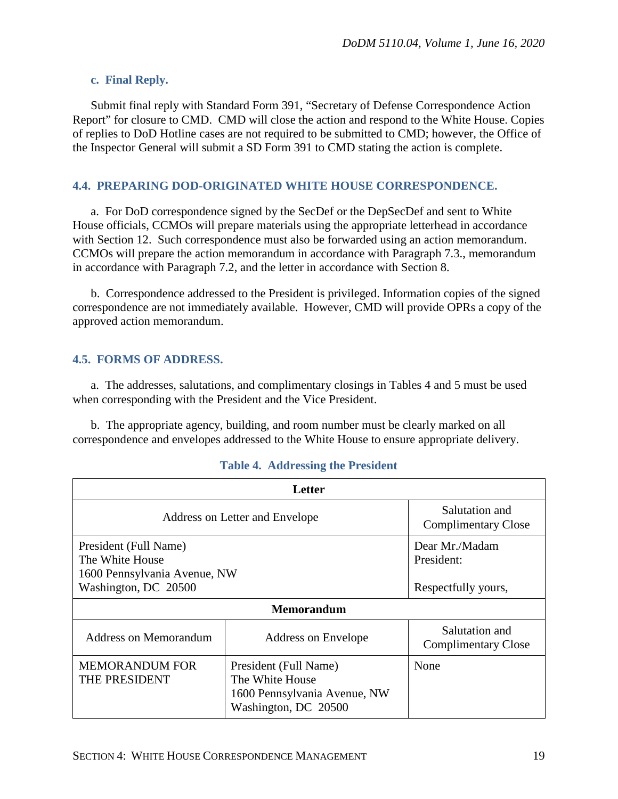#### **c. Final Reply.**

Submit final reply with Standard Form 391, "Secretary of Defense Correspondence Action Report" for closure to CMD. CMD will close the action and respond to the White House. Copies of replies to DoD Hotline cases are not required to be submitted to CMD; however, the Office of the Inspector General will submit a SD Form 391 to CMD stating the action is complete.

### **4.4. PREPARING DOD-ORIGINATED WHITE HOUSE CORRESPONDENCE.**

a. For DoD correspondence signed by the SecDef or the DepSecDef and sent to White House officials, CCMOs will prepare materials using the appropriate letterhead in accordance with Section 12. Such correspondence must also be forwarded using an action memorandum. CCMOs will prepare the action memorandum in accordance with Paragraph 7.3., memorandum in accordance with Paragraph 7.2, and the letter in accordance with Section 8.

b. Correspondence addressed to the President is privileged. Information copies of the signed correspondence are not immediately available. However, CMD will provide OPRs a copy of the approved action memorandum.

# **4.5. FORMS OF ADDRESS.**

a. The addresses, salutations, and complimentary closings in Tables 4 and 5 must be used when corresponding with the President and the Vice President.

b. The appropriate agency, building, and room number must be clearly marked on all correspondence and envelopes addressed to the White House to ensure appropriate delivery.

| Letter                                   |                                                                                                  |                                              |  |
|------------------------------------------|--------------------------------------------------------------------------------------------------|----------------------------------------------|--|
| Address on Letter and Envelope           |                                                                                                  | Salutation and<br><b>Complimentary Close</b> |  |
| President (Full Name)<br>The White House |                                                                                                  | Dear Mr./Madam<br>President:                 |  |
| 1600 Pennsylvania Avenue, NW             |                                                                                                  |                                              |  |
| Washington, DC 20500                     |                                                                                                  | Respectfully yours,                          |  |
| <b>Memorandum</b>                        |                                                                                                  |                                              |  |
| <b>Address on Memorandum</b>             | Address on Envelope                                                                              | Salutation and<br><b>Complimentary Close</b> |  |
| <b>MEMORANDUM FOR</b><br>THE PRESIDENT   | President (Full Name)<br>The White House<br>1600 Pennsylvania Avenue, NW<br>Washington, DC 20500 | None                                         |  |

# **Table 4. Addressing the President**